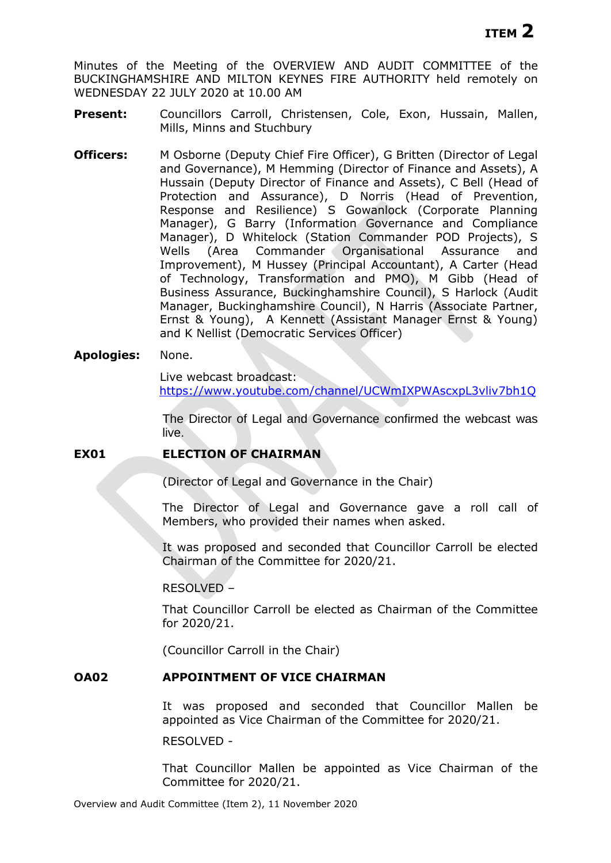Minutes of the Meeting of the OVERVIEW AND AUDIT COMMITTEE of the BUCKINGHAMSHIRE AND MILTON KEYNES FIRE AUTHORITY held remotely on WEDNESDAY 22 JULY 2020 at 10.00 AM

- Present: Councillors Carroll, Christensen, Cole, Exon, Hussain, Mallen, Mills, Minns and Stuchbury
- **Officers:** M Osborne (Deputy Chief Fire Officer), G Britten (Director of Legal and Governance), M Hemming (Director of Finance and Assets), A Hussain (Deputy Director of Finance and Assets), C Bell (Head of Protection and Assurance), D Norris (Head of Prevention, Response and Resilience) S Gowanlock (Corporate Planning Manager), G Barry (Information Governance and Compliance Manager), D Whitelock (Station Commander POD Projects), S Wells (Area Commander Organisational Assurance and Improvement), M Hussey (Principal Accountant), A Carter (Head of Technology, Transformation and PMO), M Gibb (Head of Business Assurance, Buckinghamshire Council), S Harlock (Audit Manager, Buckinghamshire Council), N Harris (Associate Partner, Ernst & Young), A Kennett (Assistant Manager Ernst & Young) and K Nellist (Democratic Services Officer)

## **Apologies:** None.

Live webcast broadcast:

<https://www.youtube.com/channel/UCWmIXPWAscxpL3vliv7bh1Q>

The Director of Legal and Governance confirmed the webcast was live.

# **EX01 ELECTION OF CHAIRMAN**

(Director of Legal and Governance in the Chair)

The Director of Legal and Governance gave a roll call of Members, who provided their names when asked.

It was proposed and seconded that Councillor Carroll be elected Chairman of the Committee for 2020/21.

RESOLVED –

That Councillor Carroll be elected as Chairman of the Committee for 2020/21.

(Councillor Carroll in the Chair)

## **OA02 APPOINTMENT OF VICE CHAIRMAN**

It was proposed and seconded that Councillor Mallen be appointed as Vice Chairman of the Committee for 2020/21.

RESOLVED -

That Councillor Mallen be appointed as Vice Chairman of the Committee for 2020/21.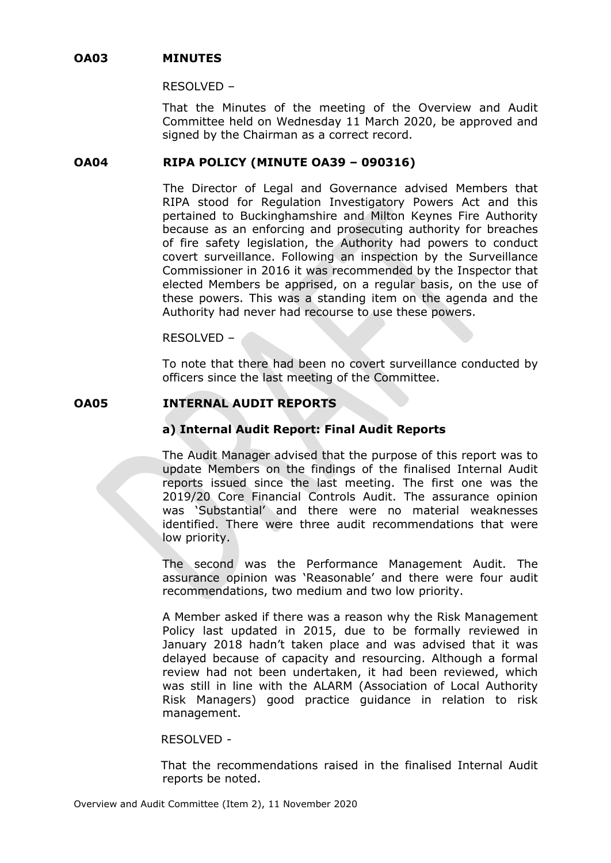### **OA03 MINUTES**

### RESOLVED –

That the Minutes of the meeting of the Overview and Audit Committee held on Wednesday 11 March 2020, be approved and signed by the Chairman as a correct record.

### **OA04 RIPA POLICY (MINUTE OA39 – 090316)**

The Director of Legal and Governance advised Members that RIPA stood for Regulation Investigatory Powers Act and this pertained to Buckinghamshire and Milton Keynes Fire Authority because as an enforcing and prosecuting authority for breaches of fire safety legislation, the Authority had powers to conduct covert surveillance. Following an inspection by the Surveillance Commissioner in 2016 it was recommended by the Inspector that elected Members be apprised, on a regular basis, on the use of these powers. This was a standing item on the agenda and the Authority had never had recourse to use these powers.

RESOLVED –

To note that there had been no covert surveillance conducted by officers since the last meeting of the Committee.

## **OA05 INTERNAL AUDIT REPORTS**

# **a) Internal Audit Report: Final Audit Reports**

The Audit Manager advised that the purpose of this report was to update Members on the findings of the finalised Internal Audit reports issued since the last meeting. The first one was the 2019/20 Core Financial Controls Audit. The assurance opinion was 'Substantial' and there were no material weaknesses identified. There were three audit recommendations that were low priority.

The second was the Performance Management Audit. The assurance opinion was 'Reasonable' and there were four audit recommendations, two medium and two low priority.

A Member asked if there was a reason why the Risk Management Policy last updated in 2015, due to be formally reviewed in January 2018 hadn't taken place and was advised that it was delayed because of capacity and resourcing. Although a formal review had not been undertaken, it had been reviewed, which was still in line with the ALARM (Association of Local Authority Risk Managers) good practice guidance in relation to risk management.

### RESOLVED -

That the recommendations raised in the finalised Internal Audit reports be noted.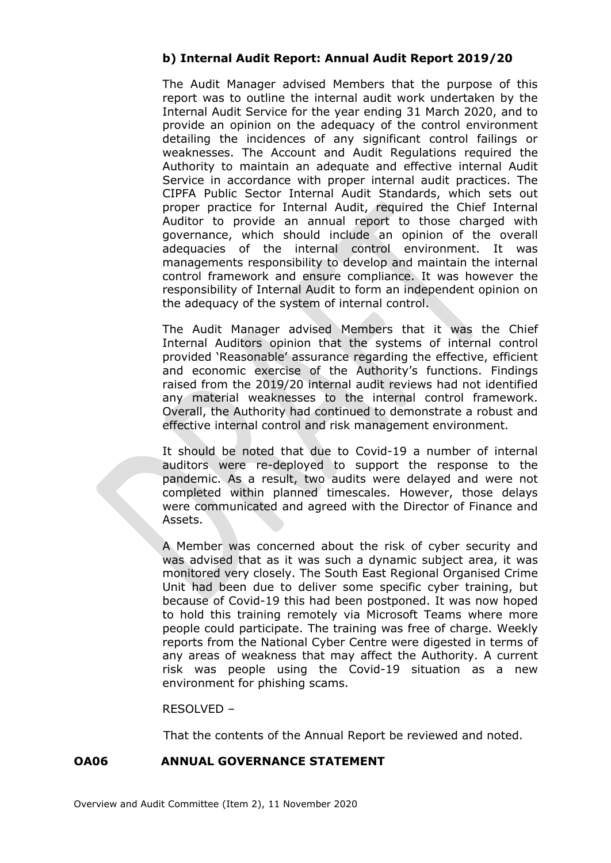# **b) Internal Audit Report: Annual Audit Report 2019/20**

The Audit Manager advised Members that the purpose of this report was to outline the internal audit work undertaken by the Internal Audit Service for the year ending 31 March 2020, and to provide an opinion on the adequacy of the control environment detailing the incidences of any significant control failings or weaknesses. The Account and Audit Regulations required the Authority to maintain an adequate and effective internal Audit Service in accordance with proper internal audit practices. The CIPFA Public Sector Internal Audit Standards, which sets out proper practice for Internal Audit, required the Chief Internal Auditor to provide an annual report to those charged with governance, which should include an opinion of the overall adequacies of the internal control environment. It was managements responsibility to develop and maintain the internal control framework and ensure compliance. It was however the responsibility of Internal Audit to form an independent opinion on the adequacy of the system of internal control.

The Audit Manager advised Members that it was the Chief Internal Auditors opinion that the systems of internal control provided 'Reasonable' assurance regarding the effective, efficient and economic exercise of the Authority's functions. Findings raised from the 2019/20 internal audit reviews had not identified any material weaknesses to the internal control framework. Overall, the Authority had continued to demonstrate a robust and effective internal control and risk management environment.

It should be noted that due to Covid-19 a number of internal auditors were re-deployed to support the response to the pandemic. As a result, two audits were delayed and were not completed within planned timescales. However, those delays were communicated and agreed with the Director of Finance and Assets.

A Member was concerned about the risk of cyber security and was advised that as it was such a dynamic subject area, it was monitored very closely. The South East Regional Organised Crime Unit had been due to deliver some specific cyber training, but because of Covid-19 this had been postponed. It was now hoped to hold this training remotely via Microsoft Teams where more people could participate. The training was free of charge. Weekly reports from the National Cyber Centre were digested in terms of any areas of weakness that may affect the Authority. A current risk was people using the Covid-19 situation as a new environment for phishing scams.

## RESOLVED –

That the contents of the Annual Report be reviewed and noted.

## **OA06 ANNUAL GOVERNANCE STATEMENT**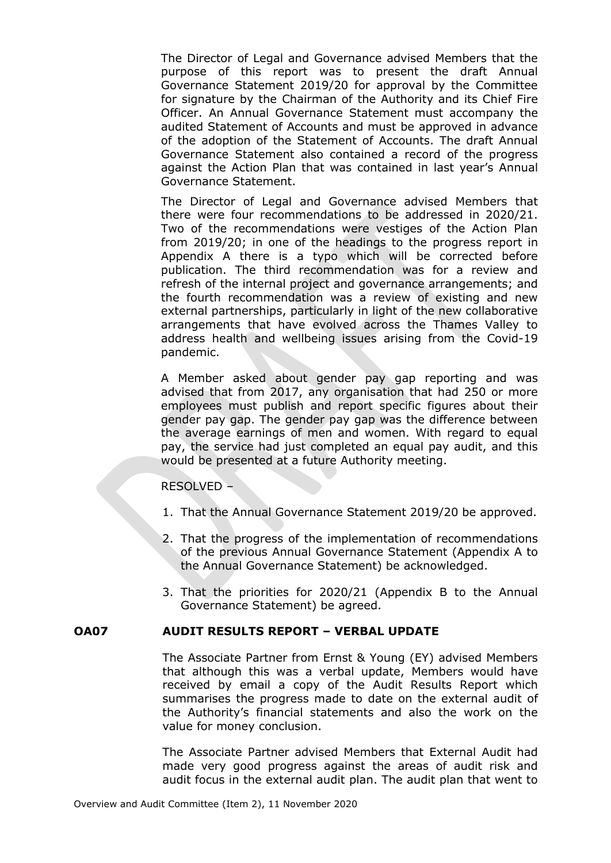The Director of Legal and Governance advised Members that the purpose of this report was to present the draft Annual Governance Statement 2019/20 for approval by the Committee for signature by the Chairman of the Authority and its Chief Fire Officer. An Annual Governance Statement must accompany the audited Statement of Accounts and must be approved in advance of the adoption of the Statement of Accounts. The draft Annual Governance Statement also contained a record of the progress against the Action Plan that was contained in last year's Annual Governance Statement.

The Director of Legal and Governance advised Members that there were four recommendations to be addressed in 2020/21. Two of the recommendations were vestiges of the Action Plan from 2019/20; in one of the headings to the progress report in Appendix A there is a typo which will be corrected before publication. The third recommendation was for a review and refresh of the internal project and governance arrangements; and the fourth recommendation was a review of existing and new external partnerships, particularly in light of the new collaborative arrangements that have evolved across the Thames Valley to address health and wellbeing issues arising from the Covid-19 pandemic.

A Member asked about gender pay gap reporting and was advised that from 2017, any organisation that had 250 or more employees must publish and report specific figures about their gender pay gap. The gender pay gap was the difference between the average earnings of men and women. With regard to equal pay, the service had just completed an equal pay audit, and this would be presented at a future Authority meeting.

## RESOLVED –

- 1. That the Annual Governance Statement 2019/20 be approved.
- 2. That the progress of the implementation of recommendations of the previous Annual Governance Statement (Appendix A to the Annual Governance Statement) be acknowledged.
- 3. That the priorities for 2020/21 (Appendix B to the Annual Governance Statement) be agreed.

## **OA07 AUDIT RESULTS REPORT – VERBAL UPDATE**

The Associate Partner from Ernst & Young (EY) advised Members that although this was a verbal update, Members would have received by email a copy of the Audit Results Report which summarises the progress made to date on the external audit of the Authority's financial statements and also the work on the value for money conclusion.

The Associate Partner advised Members that External Audit had made very good progress against the areas of audit risk and audit focus in the external audit plan. The audit plan that went to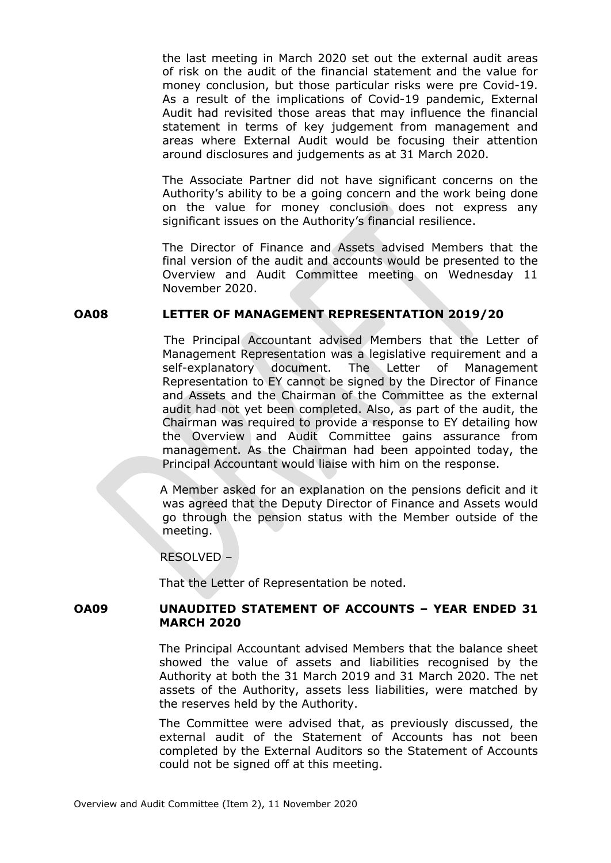the last meeting in March 2020 set out the external audit areas of risk on the audit of the financial statement and the value for money conclusion, but those particular risks were pre Covid-19. As a result of the implications of Covid-19 pandemic, External Audit had revisited those areas that may influence the financial statement in terms of key judgement from management and areas where External Audit would be focusing their attention around disclosures and judgements as at 31 March 2020.

The Associate Partner did not have significant concerns on the Authority's ability to be a going concern and the work being done on the value for money conclusion does not express any significant issues on the Authority's financial resilience.

The Director of Finance and Assets advised Members that the final version of the audit and accounts would be presented to the Overview and Audit Committee meeting on Wednesday 11 November 2020.

### **OA08 LETTER OF MANAGEMENT REPRESENTATION 2019/20**

The Principal Accountant advised Members that the Letter of Management Representation was a legislative requirement and a self-explanatory document. The Letter of Management Representation to EY cannot be signed by the Director of Finance and Assets and the Chairman of the Committee as the external audit had not yet been completed. Also, as part of the audit, the Chairman was required to provide a response to EY detailing how the Overview and Audit Committee gains assurance from management. As the Chairman had been appointed today, the Principal Accountant would liaise with him on the response.

A Member asked for an explanation on the pensions deficit and it was agreed that the Deputy Director of Finance and Assets would go through the pension status with the Member outside of the meeting.

RESOLVED –

That the Letter of Representation be noted.

### **OA09 UNAUDITED STATEMENT OF ACCOUNTS – YEAR ENDED 31 MARCH 2020**

The Principal Accountant advised Members that the balance sheet showed the value of assets and liabilities recognised by the Authority at both the 31 March 2019 and 31 March 2020. The net assets of the Authority, assets less liabilities, were matched by the reserves held by the Authority.

The Committee were advised that, as previously discussed, the external audit of the Statement of Accounts has not been completed by the External Auditors so the Statement of Accounts could not be signed off at this meeting.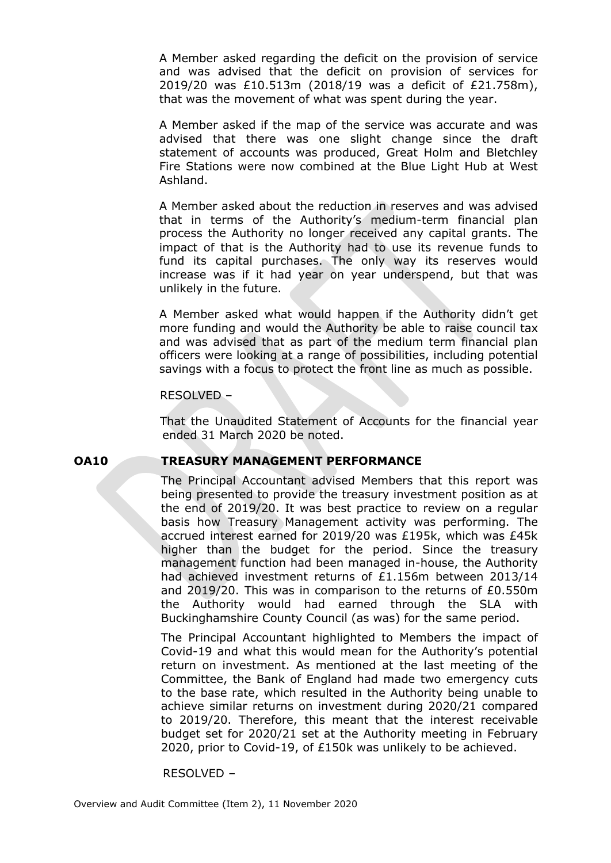A Member asked regarding the deficit on the provision of service and was advised that the deficit on provision of services for 2019/20 was £10.513m (2018/19 was a deficit of £21.758m), that was the movement of what was spent during the year.

A Member asked if the map of the service was accurate and was advised that there was one slight change since the draft statement of accounts was produced, Great Holm and Bletchley Fire Stations were now combined at the Blue Light Hub at West Ashland.

A Member asked about the reduction in reserves and was advised that in terms of the Authority's medium-term financial plan process the Authority no longer received any capital grants. The impact of that is the Authority had to use its revenue funds to fund its capital purchases. The only way its reserves would increase was if it had year on year underspend, but that was unlikely in the future.

A Member asked what would happen if the Authority didn't get more funding and would the Authority be able to raise council tax and was advised that as part of the medium term financial plan officers were looking at a range of possibilities, including potential savings with a focus to protect the front line as much as possible.

### RESOLVED –

That the Unaudited Statement of Accounts for the financial year ended 31 March 2020 be noted.

### **OA10 TREASURY MANAGEMENT PERFORMANCE**

The Principal Accountant advised Members that this report was being presented to provide the treasury investment position as at the end of 2019/20. It was best practice to review on a regular basis how Treasury Management activity was performing. The accrued interest earned for 2019/20 was £195k, which was £45k higher than the budget for the period. Since the treasury management function had been managed in-house, the Authority had achieved investment returns of £1.156m between 2013/14 and 2019/20. This was in comparison to the returns of £0.550m the Authority would had earned through the SLA with Buckinghamshire County Council (as was) for the same period.

The Principal Accountant highlighted to Members the impact of Covid-19 and what this would mean for the Authority's potential return on investment. As mentioned at the last meeting of the Committee, the Bank of England had made two emergency cuts to the base rate, which resulted in the Authority being unable to achieve similar returns on investment during 2020/21 compared to 2019/20. Therefore, this meant that the interest receivable budget set for 2020/21 set at the Authority meeting in February 2020, prior to Covid-19, of £150k was unlikely to be achieved.

### RESOLVED –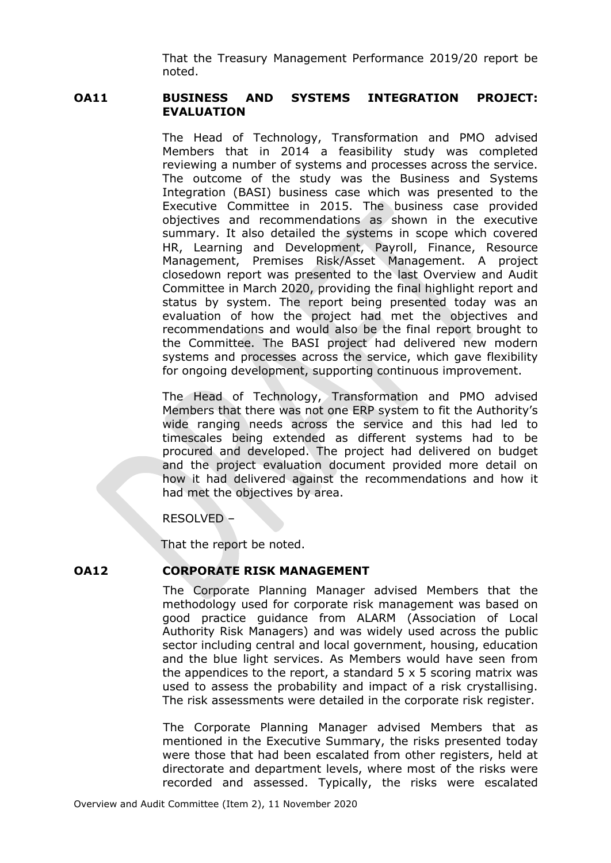That the Treasury Management Performance 2019/20 report be noted.

# **OA11 BUSINESS AND SYSTEMS INTEGRATION PROJECT: EVALUATION**

The Head of Technology, Transformation and PMO advised Members that in 2014 a feasibility study was completed reviewing a number of systems and processes across the service. The outcome of the study was the Business and Systems Integration (BASI) business case which was presented to the Executive Committee in 2015. The business case provided objectives and recommendations as shown in the executive summary. It also detailed the systems in scope which covered HR, Learning and Development, Payroll, Finance, Resource Management, Premises Risk/Asset Management. A project closedown report was presented to the last Overview and Audit Committee in March 2020, providing the final highlight report and status by system. The report being presented today was an evaluation of how the project had met the objectives and recommendations and would also be the final report brought to the Committee. The BASI project had delivered new modern systems and processes across the service, which gave flexibility for ongoing development, supporting continuous improvement.

The Head of Technology, Transformation and PMO advised Members that there was not one ERP system to fit the Authority's wide ranging needs across the service and this had led to timescales being extended as different systems had to be procured and developed. The project had delivered on budget and the project evaluation document provided more detail on how it had delivered against the recommendations and how it had met the objectives by area.

RESOLVED –

That the report be noted.

# **OA12 CORPORATE RISK MANAGEMENT**

The Corporate Planning Manager advised Members that the methodology used for corporate risk management was based on good practice guidance from ALARM (Association of Local Authority Risk Managers) and was widely used across the public sector including central and local government, housing, education and the blue light services. As Members would have seen from the appendices to the report, a standard  $5 \times 5$  scoring matrix was used to assess the probability and impact of a risk crystallising. The risk assessments were detailed in the corporate risk register.

The Corporate Planning Manager advised Members that as mentioned in the Executive Summary, the risks presented today were those that had been escalated from other registers, held at directorate and department levels, where most of the risks were recorded and assessed. Typically, the risks were escalated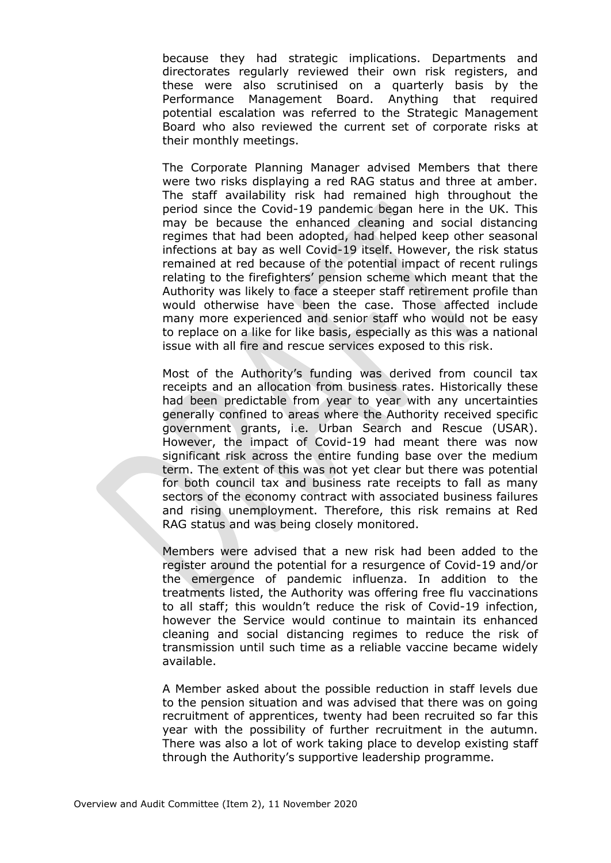because they had strategic implications. Departments and directorates regularly reviewed their own risk registers, and these were also scrutinised on a quarterly basis by the Performance Management Board. Anything that required potential escalation was referred to the Strategic Management Board who also reviewed the current set of corporate risks at their monthly meetings.

The Corporate Planning Manager advised Members that there were two risks displaying a red RAG status and three at amber. The staff availability risk had remained high throughout the period since the Covid-19 pandemic began here in the UK. This may be because the enhanced cleaning and social distancing regimes that had been adopted, had helped keep other seasonal infections at bay as well Covid-19 itself. However, the risk status remained at red because of the potential impact of recent rulings relating to the firefighters' pension scheme which meant that the Authority was likely to face a steeper staff retirement profile than would otherwise have been the case. Those affected include many more experienced and senior staff who would not be easy to replace on a like for like basis, especially as this was a national issue with all fire and rescue services exposed to this risk.

Most of the Authority's funding was derived from council tax receipts and an allocation from business rates. Historically these had been predictable from year to year with any uncertainties generally confined to areas where the Authority received specific government grants, i.e. Urban Search and Rescue (USAR). However, the impact of Covid-19 had meant there was now significant risk across the entire funding base over the medium term. The extent of this was not yet clear but there was potential for both council tax and business rate receipts to fall as many sectors of the economy contract with associated business failures and rising unemployment. Therefore, this risk remains at Red RAG status and was being closely monitored.

Members were advised that a new risk had been added to the register around the potential for a resurgence of Covid-19 and/or the emergence of pandemic influenza. In addition to the treatments listed, the Authority was offering free flu vaccinations to all staff; this wouldn't reduce the risk of Covid-19 infection, however the Service would continue to maintain its enhanced cleaning and social distancing regimes to reduce the risk of transmission until such time as a reliable vaccine became widely available.

A Member asked about the possible reduction in staff levels due to the pension situation and was advised that there was on going recruitment of apprentices, twenty had been recruited so far this year with the possibility of further recruitment in the autumn. There was also a lot of work taking place to develop existing staff through the Authority's supportive leadership programme.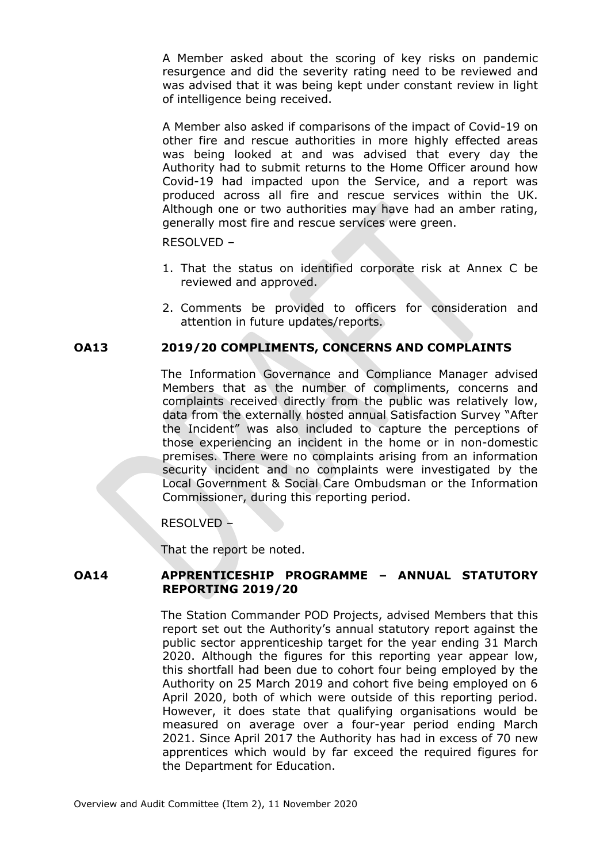A Member asked about the scoring of key risks on pandemic resurgence and did the severity rating need to be reviewed and was advised that it was being kept under constant review in light of intelligence being received.

A Member also asked if comparisons of the impact of Covid-19 on other fire and rescue authorities in more highly effected areas was being looked at and was advised that every day the Authority had to submit returns to the Home Officer around how Covid-19 had impacted upon the Service, and a report was produced across all fire and rescue services within the UK. Although one or two authorities may have had an amber rating, generally most fire and rescue services were green.

RESOLVED –

- 1. That the status on identified corporate risk at Annex C be reviewed and approved.
- 2. Comments be provided to officers for consideration and attention in future updates/reports.

## **OA13 2019/20 COMPLIMENTS, CONCERNS AND COMPLAINTS**

The Information Governance and Compliance Manager advised Members that as the number of compliments, concerns and complaints received directly from the public was relatively low, data from the externally hosted annual Satisfaction Survey "After the Incident" was also included to capture the perceptions of those experiencing an incident in the home or in non-domestic premises. There were no complaints arising from an information security incident and no complaints were investigated by the Local Government & Social Care Ombudsman or the Information Commissioner, during this reporting period.

RESOLVED –

That the report be noted.

## **OA14 APPRENTICESHIP PROGRAMME – ANNUAL STATUTORY REPORTING 2019/20**

The Station Commander POD Projects, advised Members that this report set out the Authority's annual statutory report against the public sector apprenticeship target for the year ending 31 March 2020. Although the figures for this reporting year appear low, this shortfall had been due to cohort four being employed by the Authority on 25 March 2019 and cohort five being employed on 6 April 2020, both of which were outside of this reporting period. However, it does state that qualifying organisations would be measured on average over a four-year period ending March 2021. Since April 2017 the Authority has had in excess of 70 new apprentices which would by far exceed the required figures for the Department for Education.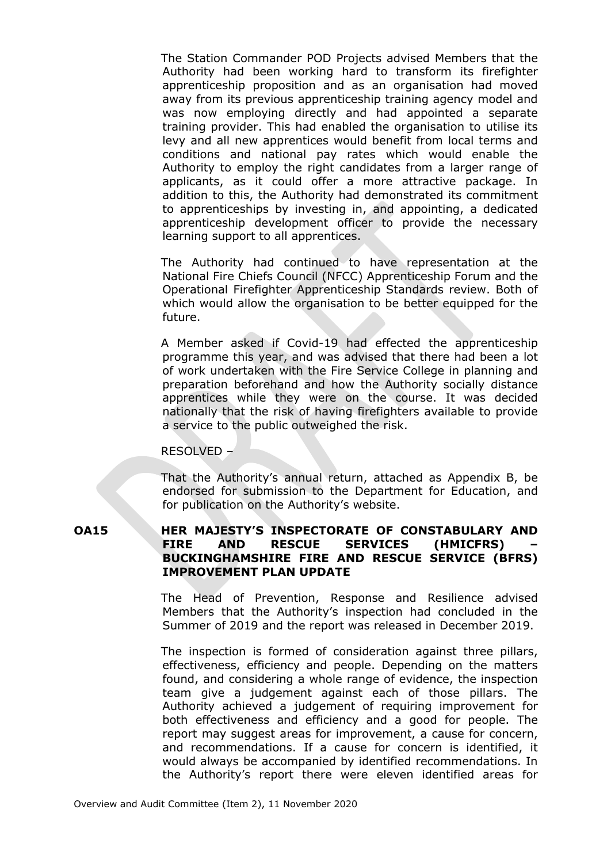The Station Commander POD Projects advised Members that the Authority had been working hard to transform its firefighter apprenticeship proposition and as an organisation had moved away from its previous apprenticeship training agency model and was now employing directly and had appointed a separate training provider. This had enabled the organisation to utilise its levy and all new apprentices would benefit from local terms and conditions and national pay rates which would enable the Authority to employ the right candidates from a larger range of applicants, as it could offer a more attractive package. In addition to this, the Authority had demonstrated its commitment to apprenticeships by investing in, and appointing, a dedicated apprenticeship development officer to provide the necessary learning support to all apprentices.

The Authority had continued to have representation at the National Fire Chiefs Council (NFCC) Apprenticeship Forum and the Operational Firefighter Apprenticeship Standards review. Both of which would allow the organisation to be better equipped for the future.

A Member asked if Covid-19 had effected the apprenticeship programme this year, and was advised that there had been a lot of work undertaken with the Fire Service College in planning and preparation beforehand and how the Authority socially distance apprentices while they were on the course. It was decided nationally that the risk of having firefighters available to provide a service to the public outweighed the risk.

### RESOLVED –

That the Authority's annual return, attached as Appendix B, be endorsed for submission to the Department for Education, and for publication on the Authority's website.

## **OA15 HER MAJESTY'S INSPECTORATE OF CONSTABULARY AND FIRE AND RESCUE SERVICES (HMICFRS) – BUCKINGHAMSHIRE FIRE AND RESCUE SERVICE (BFRS) IMPROVEMENT PLAN UPDATE**

The Head of Prevention, Response and Resilience advised Members that the Authority's inspection had concluded in the Summer of 2019 and the report was released in December 2019.

The inspection is formed of consideration against three pillars, effectiveness, efficiency and people. Depending on the matters found, and considering a whole range of evidence, the inspection team give a judgement against each of those pillars. The Authority achieved a judgement of requiring improvement for both effectiveness and efficiency and a good for people. The report may suggest areas for improvement, a cause for concern, and recommendations. If a cause for concern is identified, it would always be accompanied by identified recommendations. In the Authority's report there were eleven identified areas for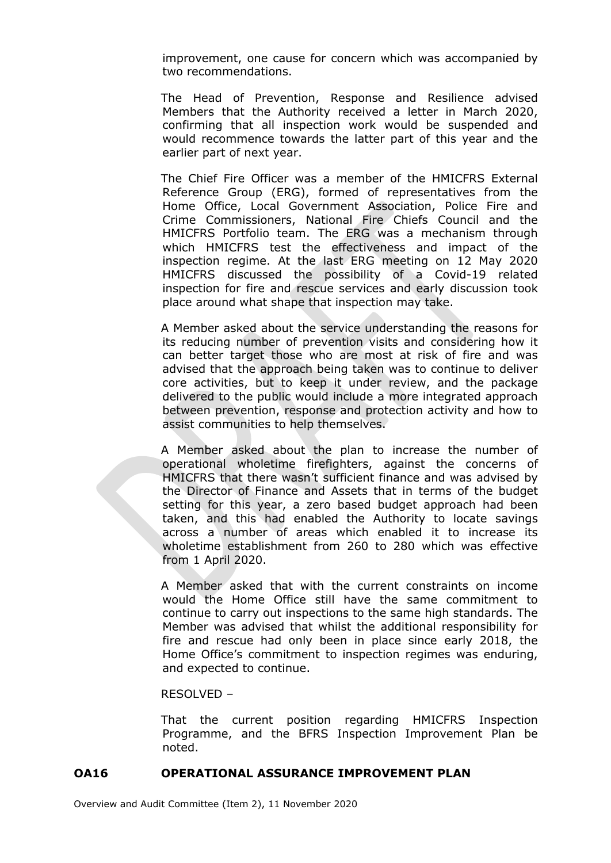improvement, one cause for concern which was accompanied by two recommendations.

The Head of Prevention, Response and Resilience advised Members that the Authority received a letter in March 2020, confirming that all inspection work would be suspended and would recommence towards the latter part of this year and the earlier part of next year.

The Chief Fire Officer was a member of the HMICFRS External Reference Group (ERG), formed of representatives from the Home Office, Local Government Association, Police Fire and Crime Commissioners, National Fire Chiefs Council and the HMICFRS Portfolio team. The ERG was a mechanism through which HMICFRS test the effectiveness and impact of the inspection regime. At the last ERG meeting on 12 May 2020 HMICFRS discussed the possibility of a Covid-19 related inspection for fire and rescue services and early discussion took place around what shape that inspection may take.

A Member asked about the service understanding the reasons for its reducing number of prevention visits and considering how it can better target those who are most at risk of fire and was advised that the approach being taken was to continue to deliver core activities, but to keep it under review, and the package delivered to the public would include a more integrated approach between prevention, response and protection activity and how to assist communities to help themselves.

A Member asked about the plan to increase the number of operational wholetime firefighters, against the concerns of HMICFRS that there wasn't sufficient finance and was advised by the Director of Finance and Assets that in terms of the budget setting for this year, a zero based budget approach had been taken, and this had enabled the Authority to locate savings across a number of areas which enabled it to increase its wholetime establishment from 260 to 280 which was effective from 1 April 2020.

A Member asked that with the current constraints on income would the Home Office still have the same commitment to continue to carry out inspections to the same high standards. The Member was advised that whilst the additional responsibility for fire and rescue had only been in place since early 2018, the Home Office's commitment to inspection regimes was enduring, and expected to continue.

### RESOLVED –

That the current position regarding HMICFRS Inspection Programme, and the BFRS Inspection Improvement Plan be noted.

### **OA16 OPERATIONAL ASSURANCE IMPROVEMENT PLAN**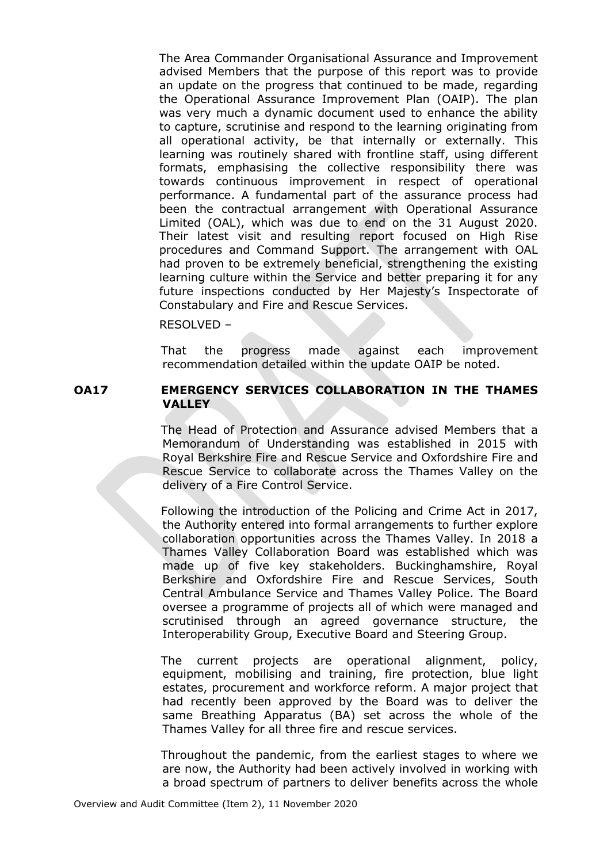The Area Commander Organisational Assurance and Improvement advised Members that the purpose of this report was to provide an update on the progress that continued to be made, regarding the Operational Assurance Improvement Plan (OAIP). The plan was very much a dynamic document used to enhance the ability to capture, scrutinise and respond to the learning originating from all operational activity, be that internally or externally. This learning was routinely shared with frontline staff, using different formats, emphasising the collective responsibility there was towards continuous improvement in respect of operational performance. A fundamental part of the assurance process had been the contractual arrangement with Operational Assurance Limited (OAL), which was due to end on the 31 August 2020. Their latest visit and resulting report focused on High Rise procedures and Command Support. The arrangement with OAL had proven to be extremely beneficial, strengthening the existing learning culture within the Service and better preparing it for any future inspections conducted by Her Majesty's Inspectorate of Constabulary and Fire and Rescue Services.

RESOLVED –

That the progress made against each improvement recommendation detailed within the update OAIP be noted.

### **OA17 EMERGENCY SERVICES COLLABORATION IN THE THAMES VALLEY**

The Head of Protection and Assurance advised Members that a Memorandum of Understanding was established in 2015 with Royal Berkshire Fire and Rescue Service and Oxfordshire Fire and Rescue Service to collaborate across the Thames Valley on the delivery of a Fire Control Service.

Following the introduction of the Policing and Crime Act in 2017, the Authority entered into formal arrangements to further explore collaboration opportunities across the Thames Valley. In 2018 a Thames Valley Collaboration Board was established which was made up of five key stakeholders. Buckinghamshire, Royal Berkshire and Oxfordshire Fire and Rescue Services, South Central Ambulance Service and Thames Valley Police. The Board oversee a programme of projects all of which were managed and scrutinised through an agreed governance structure, the Interoperability Group, Executive Board and Steering Group.

The current projects are operational alignment, policy, equipment, mobilising and training, fire protection, blue light estates, procurement and workforce reform. A major project that had recently been approved by the Board was to deliver the same Breathing Apparatus (BA) set across the whole of the Thames Valley for all three fire and rescue services.

Throughout the pandemic, from the earliest stages to where we are now, the Authority had been actively involved in working with a broad spectrum of partners to deliver benefits across the whole